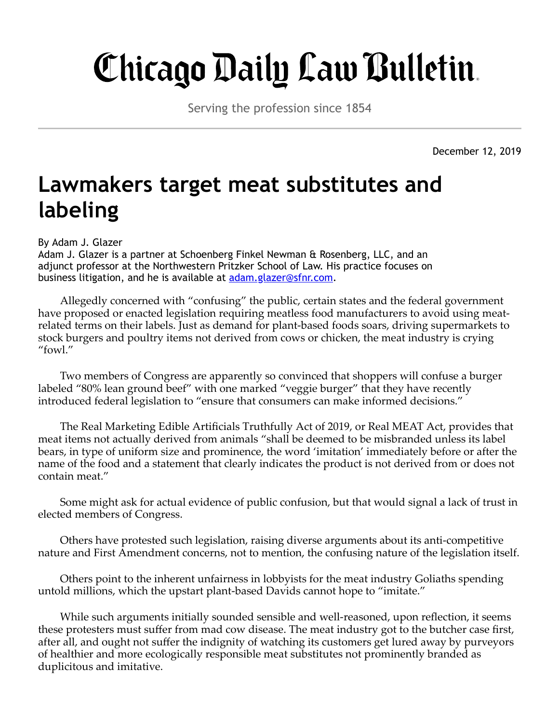## Chicago Daily Law Bulletin.

Serving the profession since 1854

December 12, 2019

## **Lawmakers target meat substitutes and labeling**

By Adam J. Glazer

Adam J. Glazer is a partner at Schoenberg Finkel Newman & Rosenberg, LLC, and an adjunct professor at the Northwestern Pritzker School of Law. His practice focuses on business litigation, and he is available at **[adam.glazer@sfnr.com.](mailto:adam.glazer@sfnr.com)** 

Allegedly concerned with "confusing" the public, certain states and the federal government have proposed or enacted legislation requiring meatless food manufacturers to avoid using meatrelated terms on their labels. Just as demand for plant-based foods soars, driving supermarkets to stock burgers and poultry items not derived from cows or chicken, the meat industry is crying "fowl."

Two members of Congress are apparently so convinced that shoppers will confuse a burger labeled "80% lean ground beef" with one marked "veggie burger" that they have recently introduced federal legislation to "ensure that consumers can make informed decisions."

The Real Marketing Edible Artificials Truthfully Act of 2019, or Real MEAT Act, provides that meat items not actually derived from animals "shall be deemed to be misbranded unless its label bears, in type of uniform size and prominence, the word 'imitation' immediately before or after the name of the food and a statement that clearly indicates the product is not derived from or does not contain meat."

Some might ask for actual evidence of public confusion, but that would signal a lack of trust in elected members of Congress.

Others have protested such legislation, raising diverse arguments about its anti-competitive nature and First Amendment concerns, not to mention, the confusing nature of the legislation itself.

Others point to the inherent unfairness in lobbyists for the meat industry Goliaths spending untold millions, which the upstart plant-based Davids cannot hope to "imitate."

While such arguments initially sounded sensible and well-reasoned, upon reflection, it seems these protesters must suffer from mad cow disease. The meat industry got to the butcher case first, after all, and ought not suffer the indignity of watching its customers get lured away by purveyors of healthier and more ecologically responsible meat substitutes not prominently branded as duplicitous and imitative.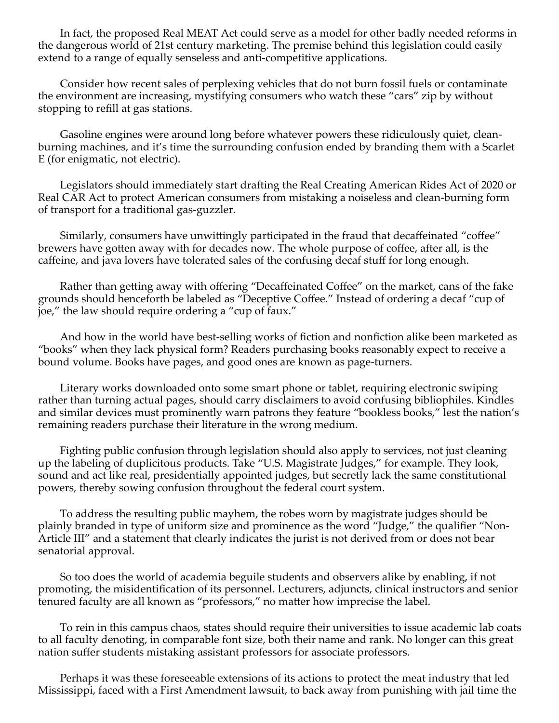In fact, the proposed Real MEAT Act could serve as a model for other badly needed reforms in the dangerous world of 21st century marketing. The premise behind this legislation could easily extend to a range of equally senseless and anti-competitive applications.

Consider how recent sales of perplexing vehicles that do not burn fossil fuels or contaminate the environment are increasing, mystifying consumers who watch these "cars" zip by without stopping to refill at gas stations.

Gasoline engines were around long before whatever powers these ridiculously quiet, cleanburning machines, and it's time the surrounding confusion ended by branding them with a Scarlet E (for enigmatic, not electric).

Legislators should immediately start drafting the Real Creating American Rides Act of 2020 or Real CAR Act to protect American consumers from mistaking a noiseless and clean-burning form of transport for a traditional gas-guzzler.

Similarly, consumers have unwittingly participated in the fraud that decaffeinated "coffee" brewers have gotten away with for decades now. The whole purpose of coffee, after all, is the caffeine, and java lovers have tolerated sales of the confusing decaf stuff for long enough.

Rather than getting away with offering "Decaffeinated Coffee" on the market, cans of the fake grounds should henceforth be labeled as "Deceptive Coffee." Instead of ordering a decaf "cup of joe," the law should require ordering a "cup of faux."

And how in the world have best-selling works of fiction and nonfiction alike been marketed as "books" when they lack physical form? Readers purchasing books reasonably expect to receive a bound volume. Books have pages, and good ones are known as page-turners.

Literary works downloaded onto some smart phone or tablet, requiring electronic swiping rather than turning actual pages, should carry disclaimers to avoid confusing bibliophiles. Kindles and similar devices must prominently warn patrons they feature "bookless books," lest the nation's remaining readers purchase their literature in the wrong medium.

Fighting public confusion through legislation should also apply to services, not just cleaning up the labeling of duplicitous products. Take "U.S. Magistrate Judges," for example. They look, sound and act like real, presidentially appointed judges, but secretly lack the same constitutional powers, thereby sowing confusion throughout the federal court system.

To address the resulting public mayhem, the robes worn by magistrate judges should be plainly branded in type of uniform size and prominence as the word "Judge," the qualifier "Non-Article III" and a statement that clearly indicates the jurist is not derived from or does not bear senatorial approval.

So too does the world of academia beguile students and observers alike by enabling, if not promoting, the misidentification of its personnel. Lecturers, adjuncts, clinical instructors and senior tenured faculty are all known as "professors," no matter how imprecise the label.

To rein in this campus chaos, states should require their universities to issue academic lab coats to all faculty denoting, in comparable font size, both their name and rank. No longer can this great nation suffer students mistaking assistant professors for associate professors.

Perhaps it was these foreseeable extensions of its actions to protect the meat industry that led Mississippi, faced with a First Amendment lawsuit, to back away from punishing with jail time the